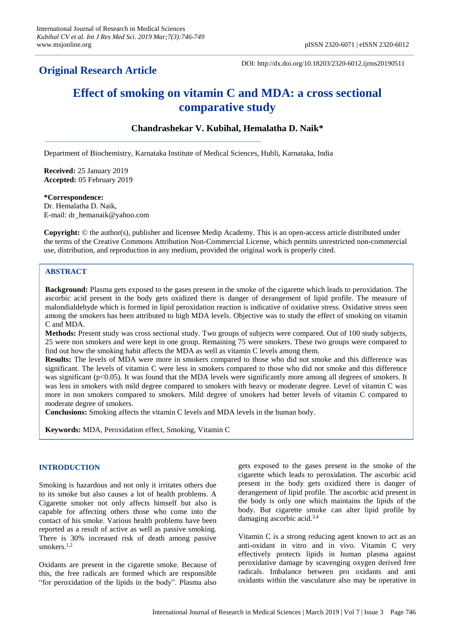# **Original Research Article**

DOI: http://dx.doi.org/10.18203/2320-6012.ijrms20190511

# **Effect of smoking on vitamin C and MDA: a cross sectional comparative study**

# **Chandrashekar V. Kubihal, Hemalatha D. Naik\***

Department of Biochemistry, Karnataka Institute of Medical Sciences, Hubli, Karnataka, India

**Received:** 25 January 2019 **Accepted:** 05 February 2019

# **\*Correspondence:**

Dr. Hemalatha D. Naik, E-mail: dr\_hemanaik@yahoo.com

**Copyright:** © the author(s), publisher and licensee Medip Academy. This is an open-access article distributed under the terms of the Creative Commons Attribution Non-Commercial License, which permits unrestricted non-commercial use, distribution, and reproduction in any medium, provided the original work is properly cited.

# **ABSTRACT**

**Background:** Plasma gets exposed to the gases present in the smoke of the cigarette which leads to peroxidation. The ascorbic acid present in the body gets oxidized there is danger of derangement of lipid profile. The measure of malondialdehyde which is formed in lipid peroxidation reaction is indicative of oxidative stress. Oxidative stress seen among the smokers has been attributed to high MDA levels. Objective was to study the effect of smoking on vitamin C and MDA.

**Methods:** Present study was cross sectional study. Two groups of subjects were compared. Out of 100 study subjects, 25 were non smokers and were kept in one group. Remaining 75 were smokers. These two groups were compared to find out how the smoking habit affects the MDA as well as vitamin C levels among them.

**Results:** The levels of MDA were more in smokers compared to those who did not smoke and this difference was significant. The levels of vitamin C were less in smokers compared to those who did not smoke and this difference was significant (p<0.05). It was found that the MDA levels were significantly more among all degrees of smokers. It was less in smokers with mild degree compared to smokers with heavy or moderate degree. Level of vitamin C was more in non smokers compared to smokers. Mild degree of smokers had better levels of vitamin C compared to moderate degree of smokers.

**Conclusions:** Smoking affects the vitamin C levels and MDA levels in the human body.

**Keywords:** MDA, Peroxidation effect, Smoking, Vitamin C

# **INTRODUCTION**

Smoking is hazardous and not only it irritates others due to its smoke but also causes a lot of health problems. A Cigarette smoker not only affects himself but also is capable for affecting others those who come into the contact of his smoke. Various health problems have been reported as a result of active as well as passive smoking. There is 30% increased risk of death among passive smokers.<sup>1,2</sup>

Oxidants are present in the cigarette smoke. Because of this, the free radicals are formed which are responsible "for peroxidation of the lipids in the body". Plasma also gets exposed to the gases present in the smoke of the cigarette which leads to peroxidation. The ascorbic acid present in the body gets oxidized there is danger of derangement of lipid profile. The ascorbic acid present in the body is only one which maintains the lipids of the body. But cigarette smoke can alter lipid profile by damaging ascorbic acid.3,4

Vitamin C is a strong reducing agent known to act as an anti-oxidant in vitro and in vivo. Vitamin C very effectively protects lipids in human plasma against peroxidative damage by scavenging oxygen derived free radicals. Imbalance between pro oxidants and anti oxidants within the vasculature also may be operative in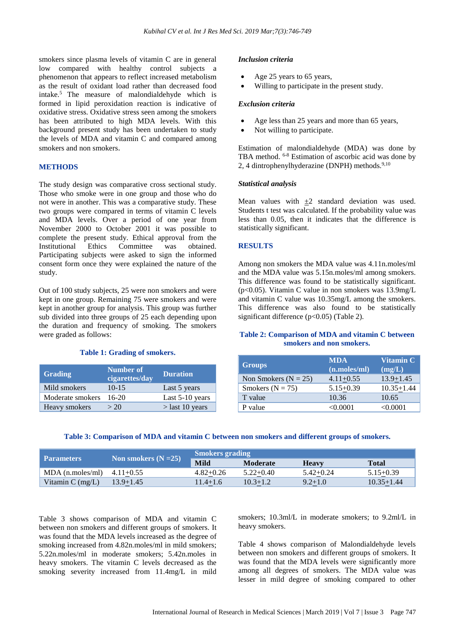smokers since plasma levels of vitamin C are in general low compared with healthy control subjects a phenomenon that appears to reflect increased metabolism as the result of oxidant load rather than decreased food intake.<sup>5</sup> The measure of malondialdehyde which is formed in lipid peroxidation reaction is indicative of oxidative stress. Oxidative stress seen among the smokers has been attributed to high MDA levels. With this background present study has been undertaken to study the levels of MDA and vitamin C and compared among smokers and non smokers.

# **METHODS**

The study design was comparative cross sectional study. Those who smoke were in one group and those who do not were in another. This was a comparative study. These two groups were compared in terms of vitamin C levels and MDA levels. Over a period of one year from November 2000 to October 2001 it was possible to complete the present study. Ethical approval from the Institutional Ethics Committee was obtained. Participating subjects were asked to sign the informed consent form once they were explained the nature of the study.

Out of 100 study subjects, 25 were non smokers and were kept in one group. Remaining 75 were smokers and were kept in another group for analysis. This group was further sub divided into three groups of 25 each depending upon the duration and frequency of smoking. The smokers were graded as follows:

#### **Table 1: Grading of smokers.**

| <b>Grading</b>   | Number of<br>cigarettes/day | <b>Duration</b>   |
|------------------|-----------------------------|-------------------|
| Mild smokers     | $10 - 15$                   | Last 5 years      |
| Moderate smokers | $16-20$                     | Last 5-10 years   |
| Heavy smokers    | > 20                        | $>$ last 10 years |

### *Inclusion criteria*

- Age 25 years to 65 years,
- Willing to participate in the present study.

#### *Exclusion criteria*

- Age less than 25 years and more than 65 years,
- Not willing to participate.

Estimation of malondialdehyde (MDA) was done by TBA method. 6-8 Estimation of ascorbic acid was done by 2, 4 dintrophenylhyderazine (DNPH) methods. $9,10$ 

#### *Statistical analysis*

Mean values with  $\pm 2$  standard deviation was used. Students t test was calculated. If the probability value was less than 0.05, then it indicates that the difference is statistically significant.

# **RESULTS**

Among non smokers the MDA value was 4.11n.moles/ml and the MDA value was 5.15n.moles/ml among smokers. This difference was found to be statistically significant. (p<0.05). Vitamin C value in non smokers was 13.9mg/L and vitamin C value was 10.35mg/L among the smokers. This difference was also found to be statistically significant difference  $(p<0.05)$  (Table 2).

# **Table 2: Comparison of MDA and vitamin C between smokers and non smokers.**

| <b>Groups</b>            | <b>MDA</b><br>(n.moles/ml) | Vitamin C<br>(mg/L) |
|--------------------------|----------------------------|---------------------|
| Non Smokers ( $N = 25$ ) | $4.11 + 0.55$              | $13.9 + 1.45$       |
| Smokers ( $N = 75$ )     | $5.15 + 0.39$              | $10.35 + 1.44$      |
| T value                  | 10.36                      | 10.65               |
| P value                  | $< \!\! 0.0001$            | $<\!\!0.0001$       |

# **Table 3: Comparison of MDA and vitamin C between non smokers and different groups of smokers.**

| Parameters         |                        | <b>Smokers grading</b> |                 |              |                |  |
|--------------------|------------------------|------------------------|-----------------|--------------|----------------|--|
|                    | Non smokers $(N = 25)$ | <b>Mild</b>            | <b>Moderate</b> | <b>Heavy</b> | <b>Total</b>   |  |
| $MDA$ (n.moles/ml) | $4.11 + 0.55$          | $4.82 + 0.26$          | $5.22+0.40$     | $5.42+0.24$  | $5.15 + 0.39$  |  |
| Vitamin $C$ (mg/L) | 13.9+1.45              | $1.4 + 1.6$            | $10.3 + 1.2$    | $9.2 + 1.0$  | $10.35 + 1.44$ |  |

Table 3 shows comparison of MDA and vitamin C between non smokers and different groups of smokers. It was found that the MDA levels increased as the degree of smoking increased from 4.82n.moles/ml in mild smokers; 5.22n.moles/ml in moderate smokers; 5.42n.moles in heavy smokers. The vitamin C levels decreased as the smoking severity increased from 11.4mg/L in mild smokers; 10.3ml/L in moderate smokers; to 9.2ml/L in heavy smokers.

Table 4 shows comparison of Malondialdehyde levels between non smokers and different groups of smokers. It was found that the MDA levels were significantly more among all degrees of smokers. The MDA value was lesser in mild degree of smoking compared to other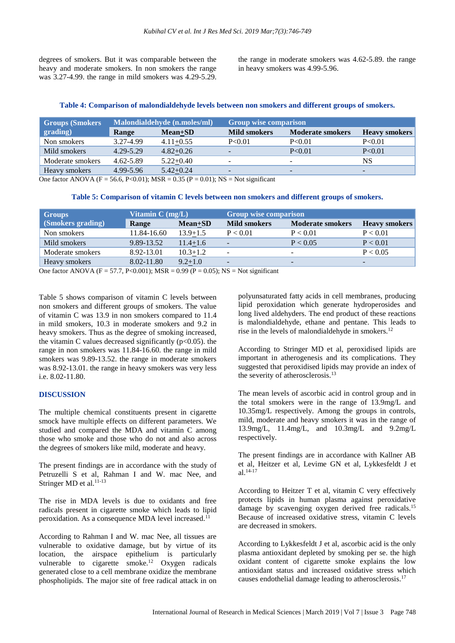degrees of smokers. But it was comparable between the heavy and moderate smokers. In non smokers the range was 3.27-4.99. the range in mild smokers was 4.29-5.29. the range in moderate smokers was 4.62-5.89. the range in heavy smokers was 4.99-5.96.

#### **Table 4: Comparison of malondialdehyde levels between non smokers and different groups of smokers.**

| Groups (Smokers <sup>1</sup> | Malondialdehyde (n.moles/ml) |               | <b>Group wise comparison</b> |                         |                          |
|------------------------------|------------------------------|---------------|------------------------------|-------------------------|--------------------------|
| grading)                     | Range                        | Mean+SD       | <b>Mild smokers</b>          | <b>Moderate smokers</b> | <b>Heavy smokers</b>     |
| Non smokers                  | 3.27-4.99                    | $4.11 + 0.55$ | P<0.01                       | P<0.01                  | P<0.01                   |
| Mild smokers                 | 4.29-5.29                    | $4.82 + 0.26$ |                              | P<0.01                  | P < 0.01                 |
| Moderate smokers             | 4.62-5.89                    | $5.22+0.40$   |                              | -                       | NS                       |
| Heavy smokers                | 4.99-5.96                    | $5.42 + 0.24$ |                              | -                       | $\overline{\phantom{0}}$ |

One factor ANOVA (F = 56.6, P<0.01); MSR = 0.35 (P = 0.01); NS = Not significant

|  |  | Table 5: Comparison of vitamin C levels between non smokers and different groups of smokers |  |
|--|--|---------------------------------------------------------------------------------------------|--|
|  |  |                                                                                             |  |

| <b>Groups</b>                                                                                                                    | Vitamin $C$ (mg/L) |                | <b>Group wise comparison</b>                                   |                          |                          |
|----------------------------------------------------------------------------------------------------------------------------------|--------------------|----------------|----------------------------------------------------------------|--------------------------|--------------------------|
| (Smokers grading)                                                                                                                | Range              | Mean+SD        | <b>Mild smokers</b>                                            | <b>Moderate smokers</b>  | <b>Heavy smokers</b>     |
| Non smokers                                                                                                                      | 11.84-16.60        | $13.9 + 1.5$   | P < 0.01                                                       | P < 0.01                 | P < 0.01                 |
| Mild smokers                                                                                                                     | 9.89-13.52         | $11.4 \pm 1.6$ | $\overline{\phantom{a}}$                                       | P < 0.05                 | P < 0.01                 |
| Moderate smokers                                                                                                                 | 8.92-13.01         | $10.3 + 1.2$   | $\overline{\phantom{a}}$                                       | $\overline{\phantom{a}}$ | P < 0.05                 |
| Heavy smokers                                                                                                                    | 8.02-11.80         | $9.2 + 1.0$    | $\overline{\phantom{a}}$                                       | $\overline{\phantom{0}}$ | $\overline{\phantom{0}}$ |
| $\Omega$ $\Omega$ $\mu$ $\lambda$ $\text{NOML}$ $\Omega$ $\sigma$ $\Omega$ $\Omega$ $\Omega$ $\Omega$ $\Omega$ $\Omega$ $\Omega$ |                    |                | $0.00(1) 0.05$ MO $\overline{M}$ $\overline{M}$ $\overline{M}$ |                          |                          |

One factor ANOVA (F = 57.7, P<0.001); MSR = 0.99 (P = 0.05); NS = Not significant

Table 5 shows comparison of vitamin C levels between non smokers and different groups of smokers. The value of vitamin C was 13.9 in non smokers compared to 11.4 in mild smokers, 10.3 in moderate smokers and 9.2 in heavy smokers. Thus as the degree of smoking increased, the vitamin C values decreased significantly  $(p<0.05)$ . the range in non smokers was 11.84-16.60. the range in mild smokers was 9.89-13.52. the range in moderate smokers was 8.92-13.01. the range in heavy smokers was very less i.e. 8.02-11.80.

#### **DISCUSSION**

The multiple chemical constituents present in cigarette smock have multiple effects on different parameters. We studied and compared the MDA and vitamin C among those who smoke and those who do not and also across the degrees of smokers like mild, moderate and heavy.

The present findings are in accordance with the study of Petruzelli S et al, Rahman I and W. mac Nee, and Stringer MD et al.<sup>11-13</sup>

The rise in MDA levels is due to oxidants and free radicals present in cigarette smoke which leads to lipid peroxidation. As a consequence MDA level increased.<sup>11</sup>

According to Rahman I and W. mac Nee, all tissues are vulnerable to oxidative damage, but by virtue of its location, the airspace epithelium is particularly vulnerable to cigarette smoke.<sup>12</sup> Oxygen radicals generated close to a cell membrane oxidize the membrane phospholipids. The major site of free radical attack in on polyunsaturated fatty acids in cell membranes, producing lipid peroxidation which generate hydroperosides and long lived aldehyders. The end product of these reactions is malondialdehyde, ethane and pentane. This leads to rise in the levels of malondialdehyde in smokers.<sup>12</sup>

According to Stringer MD et al, peroxidised lipids are important in atherogenesis and its complications. They suggested that peroxidised lipids may provide an index of the severity of atherosclerosis.<sup>13</sup>

The mean levels of ascorbic acid in control group and in the total smokers were in the range of 13.9mg/L and 10.35mg/L respectively. Among the groups in controls, mild, moderate and heavy smokers it was in the range of 13.9mg/L, 11.4mg/L, and 10.3mg/L and 9.2mg/L respectively.

The present findings are in accordance with Kallner AB et al, Heitzer et al, Levime GN et al, Lykkesfeldt J et al.14-17

According to Heitzer T et al, vitamin C very effectively protects lipids in human plasma against peroxidative damage by scavenging oxygen derived free radicals.<sup>15</sup> Because of increased oxidative stress, vitamin C levels are decreased in smokers.

According to Lykkesfeldt J et al, ascorbic acid is the only plasma antioxidant depleted by smoking per se. the high oxidant content of cigarette smoke explains the low antioxidant status and increased oxidative stress which causes endothelial damage leading to atherosclerosis. 17